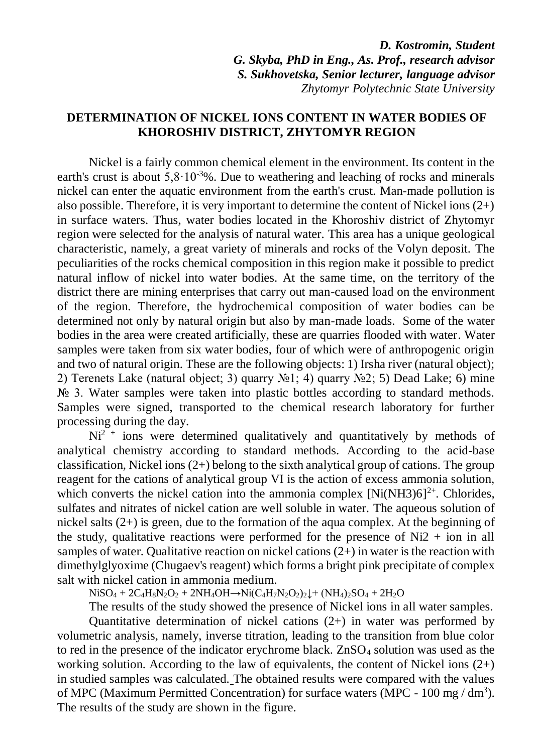*D. Kostromin, Student G. Skyba, PhD in Eng., As. Prof., research advisor S. Sukhovetska, Senior lecturer, language advisor Zhytomyr Polytechnic State University*

## **DETERMINATION OF NICKEL IONS CONTENT IN WATER BODIES OF KHOROSHIV DISTRICT, ZHYTOMYR REGION**

Nickel is a fairly common chemical element in the environment. Its content in the earth's crust is about  $5.8 \cdot 10^{-3}$ %. Due to weathering and leaching of rocks and minerals nickel can enter the aquatic environment from the earth's crust. Man-made pollution is also possible. Therefore, it is very important to determine the content of Nickel ions  $(2+)$ in surface waters. Thus, water bodies located in the Khoroshiv district of Zhytomyr region were selected for the analysis of natural water. This area has a unique geological characteristic, namely, a great variety of minerals and rocks of the Volyn deposit. The peculiarities of the rocks chemical composition in this region make it possible to predict natural inflow of nickel into water bodies. At the same time, on the territory of the district there are mining enterprises that carry out man-caused load on the environment of the region. Therefore, the hydrochemical composition of water bodies can be determined not only by natural origin but also by man-made loads. Some of the water bodies in the area were created artificially, these are quarries flooded with water. Water samples were taken from six water bodies, four of which were of anthropogenic origin and two of natural origin. These are the following objects: 1) Irsha river (natural object); 2) Terenets Lake (natural object; 3) quarry №1; 4) quarry №2; 5) Dead Lake; 6) mine No 3. Water samples were taken into plastic bottles according to standard methods. Samples were signed, transported to the chemical research laboratory for further processing during the day.

 $Ni<sup>2</sup>$  + ions were determined qualitatively and quantitatively by methods of analytical chemistry according to standard methods. According to the acid-base classification, Nickel ions (2+) belong to the sixth analytical group of cations. The group reagent for the cations of analytical group VI is the action of excess ammonia solution, which converts the nickel cation into the ammonia complex  $[Ni(NH3)6]^{2+}$ . Chlorides, sulfates and nitrates of nickel cation are well soluble in water. The aqueous solution of nickel salts (2+) is green, due to the formation of the aqua complex. At the beginning of the study, qualitative reactions were performed for the presence of  $Ni2 + ion$  in all samples of water. Qualitative reaction on nickel cations  $(2+)$  in water is the reaction with dimethylglyoxime (Chugaev's reagent) which forms a bright pink precipitate of complex salt with nickel cation in ammonia medium.

 $NiSO_4 + 2C_4H_8N_2O_2 + 2NH_4OH \rightarrow Ni(C_4H_7N_2O_2)_2\downarrow + (NH_4)_2SO_4 + 2H_2O$ 

The results of the study showed the presence of Nickel ions in all water samples.

Quantitative determination of nickel cations  $(2+)$  in water was performed by volumetric analysis, namely, inverse titration, leading to the transition from blue color to red in the presence of the indicator erychrome black.  $ZnSO<sub>4</sub>$  solution was used as the working solution. According to the law of equivalents, the content of Nickel ions  $(2+)$ in studied samples was calculated. The obtained results were compared with the values of MPC (Maximum Permitted Concentration) for surface waters (MPC -  $100 \text{ mg} / \text{dm}^3$ ). The results of the study are shown in the figure.